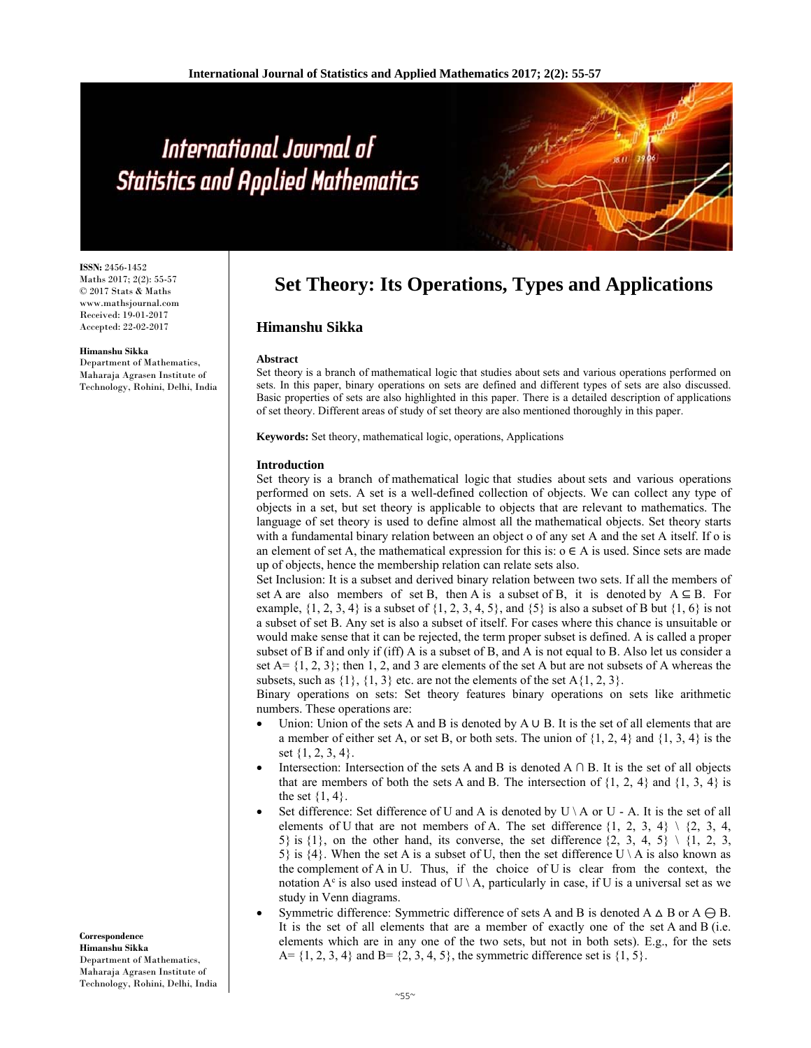# International Journal of **Statistics and Applied Mathematics**

**ISSN:** 2456-1452 Maths 2017; 2(2): 55-57 © 2017 Stats & Maths www.mathsjournal.com Received: 19-01-2017 Accepted: 22-02-2017

#### **Himanshu Sikka**

Department of Mathematics, Maharaja Agrasen Institute of Technology, Rohini, Delhi, India **Set Theory: Its Operations, Types and Applications**

## **Himanshu Sikka**

## **Abstract**

Set theory is a branch of mathematical logic that studies about sets and various operations performed on sets. In this paper, binary operations on sets are defined and different types of sets are also discussed. Basic properties of sets are also highlighted in this paper. There is a detailed description of applications of set theory. Different areas of study of set theory are also mentioned thoroughly in this paper.

**Keywords:** Set theory, mathematical logic, operations, Applications

## **Introduction**

Set theory is a branch of mathematical logic that studies about sets and various operations performed on sets. A set is a well-defined collection of objects. We can collect any type of objects in a set, but set theory is applicable to objects that are relevant to mathematics. The language of set theory is used to define almost all the mathematical objects. Set theory starts with a fundamental binary relation between an object o of any set A and the set A itself. If o is an element of set A, the mathematical expression for this is:  $o \in A$  is used. Since sets are made up of objects, hence the membership relation can relate sets also.

Set Inclusion: It is a subset and derived binary relation between two sets. If all the members of set A are also members of set B, then A is a subset of B, it is denoted by  $A \subseteq B$ . For example,  $\{1, 2, 3, 4\}$  is a subset of  $\{1, 2, 3, 4, 5\}$ , and  $\{5\}$  is also a subset of B but  $\{1, 6\}$  is not a subset of set B. Any set is also a subset of itself. For cases where this chance is unsuitable or would make sense that it can be rejected, the term proper subset is defined. A is called a proper subset of B if and only if (iff) A is a subset of B, and A is not equal to B. Also let us consider a set  $A = \{1, 2, 3\}$ ; then 1, 2, and 3 are elements of the set A but are not subsets of A whereas the subsets, such as  $\{1\}$ ,  $\{1, 3\}$  etc. are not the elements of the set A $\{1, 2, 3\}$ .

Binary operations on sets: Set theory features binary operations on sets like arithmetic numbers. These operations are:

- Union: Union of the sets A and B is denoted by A ∪ B. It is the set of all elements that are a member of either set A, or set B, or both sets. The union of  $\{1, 2, 4\}$  and  $\{1, 3, 4\}$  is the set {1, 2, 3, 4}.
- Intersection: Intersection of the sets A and B is denoted  $A \cap B$ . It is the set of all objects that are members of both the sets A and B. The intersection of  $\{1, 2, 4\}$  and  $\{1, 3, 4\}$  is the set  $\{1, 4\}$ .
- Set difference: Set difference of U and A is denoted by  $U \setminus A$  or  $U A$ . It is the set of all elements of U that are not members of A. The set difference  $\{1, 2, 3, 4\} \setminus \{2, 3, 4,$ 5} is  $\{1\}$ , on the other hand, its converse, the set difference  $\{2, 3, 4, 5\} \setminus \{1, 2, 3, 4, 5\}$ 5} is  $\{4\}$ . When the set A is a subset of U, then the set difference U \ A is also known as the complement of A in U. Thus, if the choice of U is clear from the context, the notation  $A^c$  is also used instead of  $U \setminus A$ , particularly in case, if U is a universal set as we study in Venn diagrams.
- Symmetric difference: Symmetric difference of sets A and B is denoted A  $\triangle$  B or A  $\ominus$  B. It is the set of all elements that are a member of exactly one of the set A and B (i.e. elements which are in any one of the two sets, but not in both sets). E.g., for the sets A=  $\{1, 2, 3, 4\}$  and B=  $\{2, 3, 4, 5\}$ , the symmetric difference set is  $\{1, 5\}$ .

**Correspondence Himanshu Sikka** Department of Mathematics, Maharaja Agrasen Institute of Technology, Rohini, Delhi, India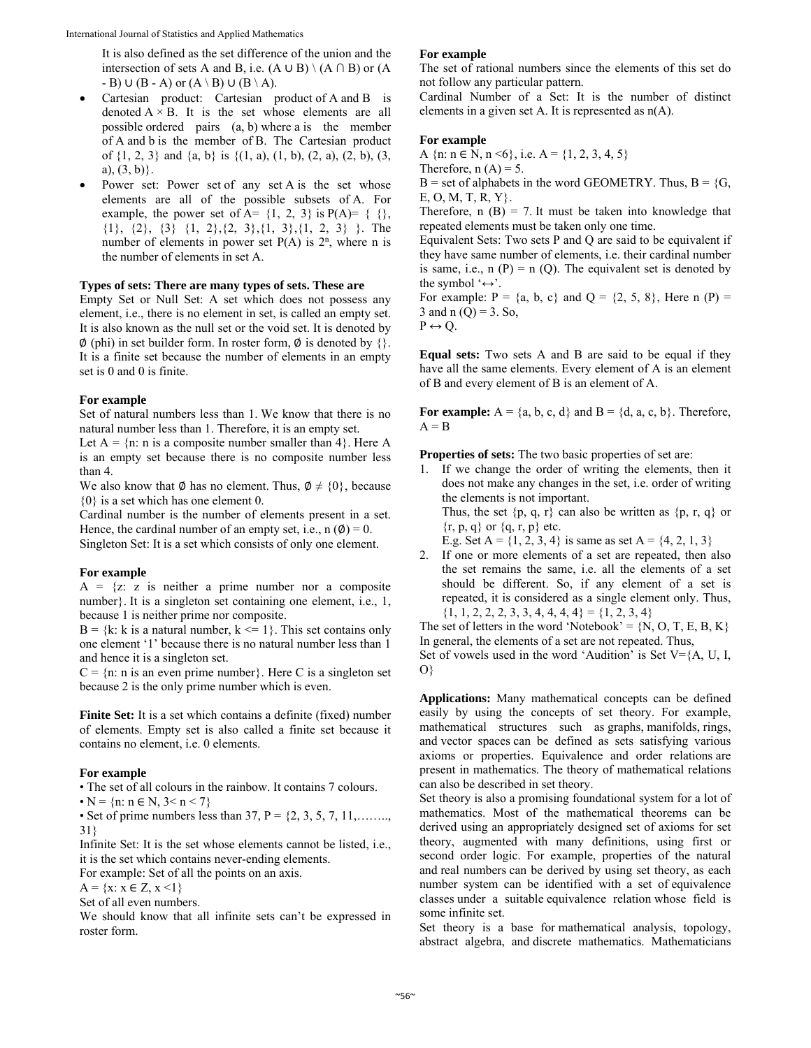It is also defined as the set difference of the union and the intersection of sets A and B, i.e.  $(A \cup B) \setminus (A \cap B)$  or  $(A \cap B)$  $-B) \cup (B - A)$  or  $(A \setminus B) \cup (B \setminus A)$ .

- Cartesian product: Cartesian product of A and B is denoted  $A \times B$ . It is the set whose elements are all possible ordered pairs (a, b) where a is the member of A and b is the member of B. The Cartesian product of  $\{1, 2, 3\}$  and  $\{a, b\}$  is  $\{(1, a), (1, b), (2, a), (2, b), (3,$ a),  $(3, b)$ .
- Power set: Power set of any set A is the set whose elements are all of the possible subsets of A. For example, the power set of A=  $\{1, 2, 3\}$  is  $P(A) = \{ \}$ , {1}, {2}, {3} {1, 2},{2, 3},{1, 3},{1, 2, 3} }. The number of elements in power set  $P(A)$  is  $2<sup>n</sup>$ , where n is the number of elements in set A.

## **Types of sets: There are many types of sets. These are**

Empty Set or Null Set: A set which does not possess any element, i.e., there is no element in set, is called an empty set. It is also known as the null set or the void set. It is denoted by  $\emptyset$  (phi) in set builder form. In roster form,  $\emptyset$  is denoted by {}. It is a finite set because the number of elements in an empty set is 0 and 0 is finite.

## **For example**

Set of natural numbers less than 1. We know that there is no natural number less than 1. Therefore, it is an empty set.

Let  $A = \{n: n \text{ is a composite number smaller than } 4\}$ . Here A is an empty set because there is no composite number less than 4.

We also know that  $\emptyset$  has no element. Thus,  $\emptyset \neq \{0\}$ , because {0} is a set which has one element 0.

Cardinal number is the number of elements present in a set. Hence, the cardinal number of an empty set, i.e.,  $n(\phi) = 0$ . Singleton Set: It is a set which consists of only one element.

#### **For example**

 $A = \{z : z \text{ is neither a prime number nor a composite}\}$ number}. It is a singleton set containing one element, i.e., 1, because 1 is neither prime nor composite.

 $B = \{k: k \text{ is a natural number, } k \leq 1\}$ . This set contains only one element '1' because there is no natural number less than 1 and hence it is a singleton set.

 $C = \{n: n \text{ is an even prime number}\}.$  Here C is a singleton set because 2 is the only prime number which is even.

**Finite Set:** It is a set which contains a definite (fixed) number of elements. Empty set is also called a finite set because it contains no element, i.e. 0 elements.

## **For example**

• The set of all colours in the rainbow. It contains 7 colours.

•  $N = \{n: n \in N, 3 \le n \le 7\}$ 

• Set of prime numbers less than 37,  $P = \{2, 3, 5, 7, 11, \ldots \}$ 31}

Infinite Set: It is the set whose elements cannot be listed, i.e., it is the set which contains never-ending elements.

For example: Set of all the points on an axis.

 $A = \{x: x \in Z, x \leq 1\}$ 

Set of all even numbers.

We should know that all infinite sets can't be expressed in roster form.

## **For example**

The set of rational numbers since the elements of this set do not follow any particular pattern.

Cardinal Number of a Set: It is the number of distinct elements in a given set A. It is represented as n(A).

## **For example**

A  $\{n: n \in N, n \le 6\}$ , i.e.  $A = \{1, 2, 3, 4, 5\}$ Therefore,  $n(A) = 5$ .  $B = set of alphabets$  in the word GEOMETRY. Thus,  $B = \{G,$ E, O, M, T, R, Y}. Therefore,  $n(B) = 7$ . It must be taken into knowledge that

repeated elements must be taken only one time.

Equivalent Sets: Two sets P and Q are said to be equivalent if they have same number of elements, i.e. their cardinal number is same, i.e.,  $n(P) = n(Q)$ . The equivalent set is denoted by the symbol ' $\leftrightarrow$ '.

For example:  $P = \{a, b, c\}$  and  $Q = \{2, 5, 8\}$ , Here n  $(P) =$ 3 and n  $(Q) = 3$ . So,

 $P \leftrightarrow Q$ .

**Equal sets:** Two sets A and B are said to be equal if they have all the same elements. Every element of A is an element of B and every element of B is an element of A.

For example:  $A = \{a, b, c, d\}$  and  $B = \{d, a, c, b\}$ . Therefore,  $A = B$ 

**Properties of sets:** The two basic properties of set are:

- 1. If we change the order of writing the elements, then it does not make any changes in the set, i.e. order of writing the elements is not important. Thus, the set  $\{p, q, r\}$  can also be written as  $\{p, r, q\}$  or  $\{r, p, q\}$  or  $\{q, r, p\}$  etc. E.g. Set A =  $\{1, 2, 3, 4\}$  is same as set A =  $\{4, 2, 1, 3\}$
- 2. If one or more elements of a set are repeated, then also the set remains the same, i.e. all the elements of a set should be different. So, if any element of a set is repeated, it is considered as a single element only. Thus,  ${1, 1, 2, 2, 2, 3, 3, 4, 4, 4, 4} = {1, 2, 3, 4}$

The set of letters in the word 'Notebook' =  $\{N, O, T, E, B, K\}$ In general, the elements of a set are not repeated. Thus,

Set of vowels used in the word 'Audition' is Set  $V = \{A, U, I, \ldots\}$ O}

**Applications:** Many mathematical concepts can be defined easily by using the concepts of set theory. For example, mathematical structures such as graphs, manifolds, rings, and vector spaces can be defined as sets satisfying various axioms or properties. Equivalence and order relations are present in mathematics. The theory of mathematical relations can also be described in set theory.

Set theory is also a promising foundational system for a lot of mathematics. Most of the mathematical theorems can be derived using an appropriately designed set of axioms for set theory, augmented with many definitions, using first or second order logic. For example, properties of the natural and real numbers can be derived by using set theory, as each number system can be identified with a set of equivalence classes under a suitable equivalence relation whose field is some infinite set.

Set theory is a base for mathematical analysis, topology, abstract algebra, and discrete mathematics. Mathematicians